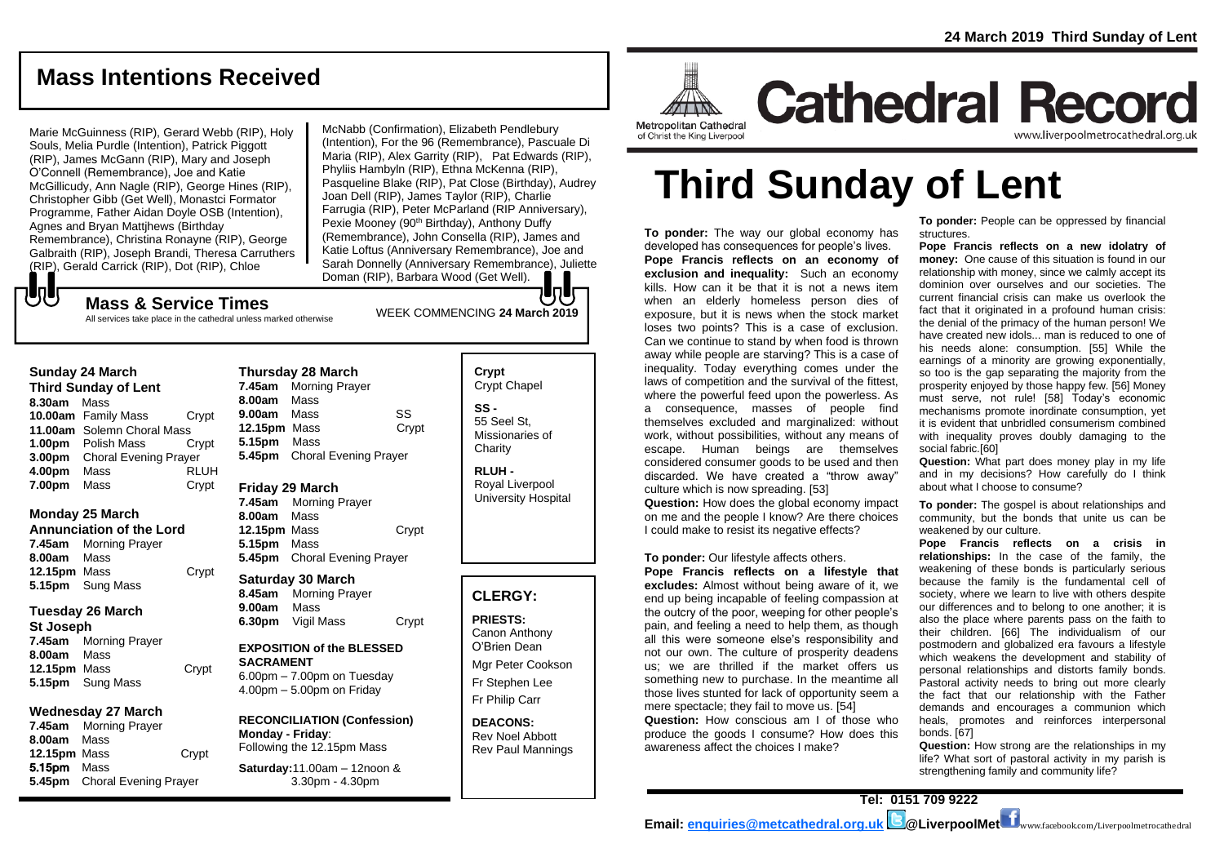## **Mass Intentions Received**

Marie McGuinness (RIP), Gerard Webb (RIP), Holy Souls, Melia Purdle (Intention), Patrick Piggott (RIP), James McGann (RIP), Mary and Joseph O'Connell (Remembrance), Joe and Katie McGillicudy, Ann Nagle (RIP), George Hines (RIP), Christopher Gibb (Get Well), Monastci Formator Programme, Father Aidan Doyle OSB (Intention), Agnes and Bryan Mattjhews (Birthday Remembrance), Christina Ronayne (RIP), George Galbraith (RIP), Joseph Brandi, Theresa Carruthers (RIP), Gerald Carrick (RIP), Dot (RIP), Chloe

McNabb (Confirmation), Elizabeth Pendlebury (Intention), For the 96 (Remembrance), Pascuale Di Maria (RIP), Alex Garrity (RIP), Pat Edwards (RIP), Phyliis Hambyln (RIP), Ethna McKenna (RIP), Pasqueline Blake (RIP), Pat Close (Birthday), Audrey Joan Dell (RIP), James Taylor (RIP), Charlie Farrugia (RIP), Peter McParland (RIP Anniversary), Pexie Mooney (90<sup>th</sup> Birthday), Anthony Duffy (Remembrance), John Consella (RIP), James and Katie Loftus (Anniversary Remembrance), Joe and Sarah Donnelly (Anniversary Remembrance), Juliette Doman (RIP), Barbara Wood (Get Well).

## WEEK COMMENCING **<sup>24</sup> March <sup>2019</sup> Mass & Service Times**

All services take place in the cathedral unless marked otherwise

#### **Sunday 24 March**

でし

**Third Sunday of Lent 8.30am** Mass **10.00am** Family Mass Crypt **11.00am** Solemn Choral Mass **1.00pm** Polish Mass Crypt **3.00pm** Choral Evening Prayer **4.00pm** Mass RLUH **7.00pm** Mass Crypt

### **Monday 25 March**

**Annunciation of the Lord 7.45am** Morning Prayer **8.00am** Mass **12.15pm** Mass Crypt **5.15pm** Sung Mass

#### **Tuesday 26 March**

**St Joseph 7.45am** Morning Prayer **8.00am** Mass **12.15pm** Mass Crypt **5.15pm** Sung Mass

### **Wednesday 27 March**

**7.45am** Morning Prayer **8.00am** Mass **12.15pm** Mass Crypt 5.15pm Mass **5.45pm** Choral Evening Prayer

**Thursday 28 March 7.45am** Morning Prayer **8.00am** Mass **9.00am** Mass SS **12.15pm** Mass Crypt

**5.15pm** Mass **5.45pm** Choral Evening Prayer

### **Friday 29 March**

**7.45am** Morning Prayer **8.00am** Mass **12.15pm** Mass Crypt **5.15pm** Mass **5.45pm** Choral Evening Prayer

### **Saturday 30 March**

**8.45am** Morning Prayer **9.00am** Mass **6.30pm** Vigil Mass Crypt

### **EXPOSITION of the BLESSED SACRAMENT**

6.00pm – 7.00pm on Tuesday 4.00pm – 5.00pm on Friday

### **RECONCILIATION (Confession) Monday - Friday**:

Following the 12.15pm Mass **Saturday:**11.00am – 12noon & 3.30pm - 4.30pm

### **Crypt**  Crypt Chapel **SS -** 55 Seel St, Missionaries of

**Charity** 

**RLUH -** Royal Liverpool University Hospital

### **CLERGY:**

**PRIESTS:** Canon Anthony O'Brien *Dean*

Mgr Peter Cookson Fr Stephen Lee Fr Philip Carr

**DEACONS:** Rev Noel Abbott Rev Paul Mannings

# **Third Sunday of Lent**

**To ponder:** The way our global economy has developed has consequences for people's lives. **Pope Francis reflects on an economy of exclusion and inequality:** Such an economy kills. How can it be that it is not a news item when an elderly homeless person dies of exposure, but it is news when the stock market loses two points? This is a case of exclusion. Can we continue to stand by when food is thrown away while people are starving? This is a case of inequality. Today everything comes under the laws of competition and the survival of the fittest, where the powerful feed upon the powerless. As a consequence, masses of people find themselves excluded and marginalized: without work, without possibilities, without any means of escape. Human beings are themselves considered consumer goods to be used and then discarded. We have created a "throw away" culture which is now spreading. [53]

**Question:** How does the global economy impact on me and the people I know? Are there choices I could make to resist its negative effects?

#### **To ponder:** Our lifestyle affects others.

**Pope Francis reflects on a lifestyle that excludes:** Almost without being aware of it, we end up being incapable of feeling compassion at the outcry of the poor, weeping for other people's pain, and feeling a need to help them, as though all this were someone else's responsibility and not our own. The culture of prosperity deadens us; we are thrilled if the market offers us something new to purchase. In the meantime all those lives stunted for lack of opportunity seem a mere spectacle; they fail to move us. [54] **Question:** How conscious am I of those who produce the goods I consume? How does this awareness affect the choices I make?

**To ponder:** People can be oppressed by financial structures.

**Pope Francis reflects on a new idolatry of money:** One cause of this situation is found in our relationship with money, since we calmly accept its dominion over ourselves and our societies. The current financial crisis can make us overlook the fact that it originated in a profound human crisis: the denial of the primacy of the human person! We have created new idols... man is reduced to one of his needs alone: consumption. [55] While the earnings of a minority are growing exponentially, so too is the gap separating the majority from the prosperity enjoyed by those happy few. [56] Money must serve, not rule! [58] Today's economic mechanisms promote inordinate consumption, yet it is evident that unbridled consumerism combined with inequality proves doubly damaging to the social fabric.[60]

**Question:** What part does money play in my life and in my decisions? How carefully do I think about what I choose to consume?

**To ponder:** The gospel is about relationships and community, but the bonds that unite us can be weakened by our culture.

**Pope Francis reflects on a crisis in relationships:** In the case of the family, the weakening of these bonds is particularly serious because the family is the fundamental cell of society, where we learn to live with others despite our differences and to belong to one another; it is also the place where parents pass on the faith to their children. [66] The individualism of our postmodern and globalized era favours a lifestyle which weakens the development and stability of personal relationships and distorts family bonds. Pastoral activity needs to bring out more clearly the fact that our relationship with the Father demands and encourages a communion which heals, promotes and reinforces interpersonal bonds. [67]

**Question:** How strong are the relationships in my life? What sort of pastoral activity in my parish is strengthening family and community life?

**Tel: 0151 709 9222** 

and the control of the control of the control of the control of the control of the control of the control of the control of the control of the control of the control of the control of the control of the control of the cont

Metropolitan Cathedral of Christ the King Liverpool

**Cathedral Record** www.liverpoolmetrocathedral.org.ul